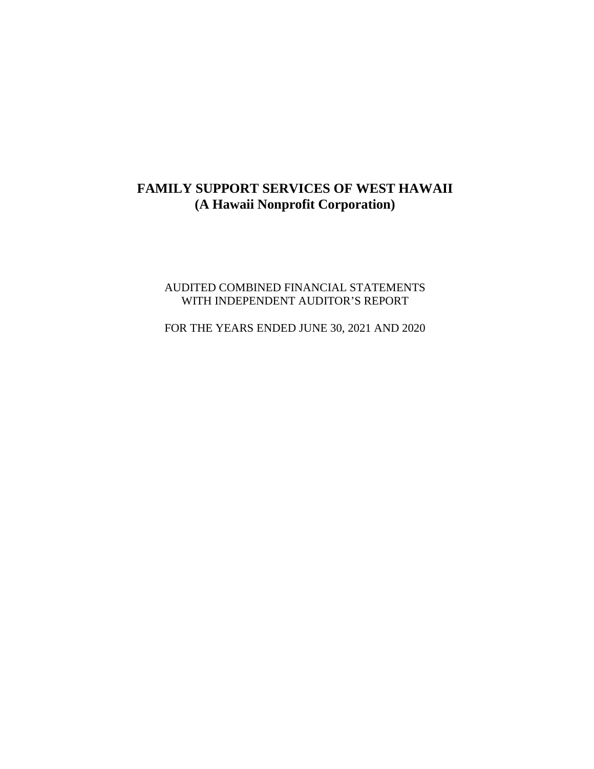# **FAMILY SUPPORT SERVICES OF WEST HAWAII (A Hawaii Nonprofit Corporation)**

# AUDITED COMBINED FINANCIAL STATEMENTS WITH INDEPENDENT AUDITOR'S REPORT

FOR THE YEARS ENDED JUNE 30, 2021 AND 2020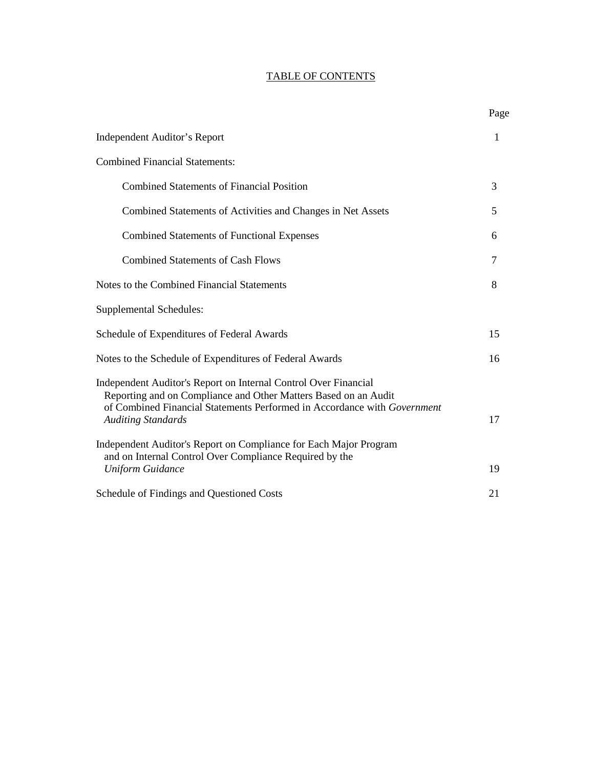# TABLE OF CONTENTS

|                                                                                                                                                                                                                | ع~ -         |
|----------------------------------------------------------------------------------------------------------------------------------------------------------------------------------------------------------------|--------------|
| Independent Auditor's Report                                                                                                                                                                                   | $\mathbf{1}$ |
| <b>Combined Financial Statements:</b>                                                                                                                                                                          |              |
| <b>Combined Statements of Financial Position</b>                                                                                                                                                               | 3            |
| Combined Statements of Activities and Changes in Net Assets                                                                                                                                                    | 5            |
| <b>Combined Statements of Functional Expenses</b>                                                                                                                                                              | 6            |
| <b>Combined Statements of Cash Flows</b>                                                                                                                                                                       | 7            |
| Notes to the Combined Financial Statements                                                                                                                                                                     | 8            |
| <b>Supplemental Schedules:</b>                                                                                                                                                                                 |              |
| Schedule of Expenditures of Federal Awards                                                                                                                                                                     | 15           |
| Notes to the Schedule of Expenditures of Federal Awards                                                                                                                                                        | 16           |
| Independent Auditor's Report on Internal Control Over Financial<br>Reporting and on Compliance and Other Matters Based on an Audit<br>of Combined Financial Statements Performed in Accordance with Government |              |
| <b>Auditing Standards</b>                                                                                                                                                                                      | 17           |
| Independent Auditor's Report on Compliance for Each Major Program<br>and on Internal Control Over Compliance Required by the                                                                                   |              |
| <b>Uniform Guidance</b>                                                                                                                                                                                        | 19           |
| Schedule of Findings and Questioned Costs                                                                                                                                                                      | 21           |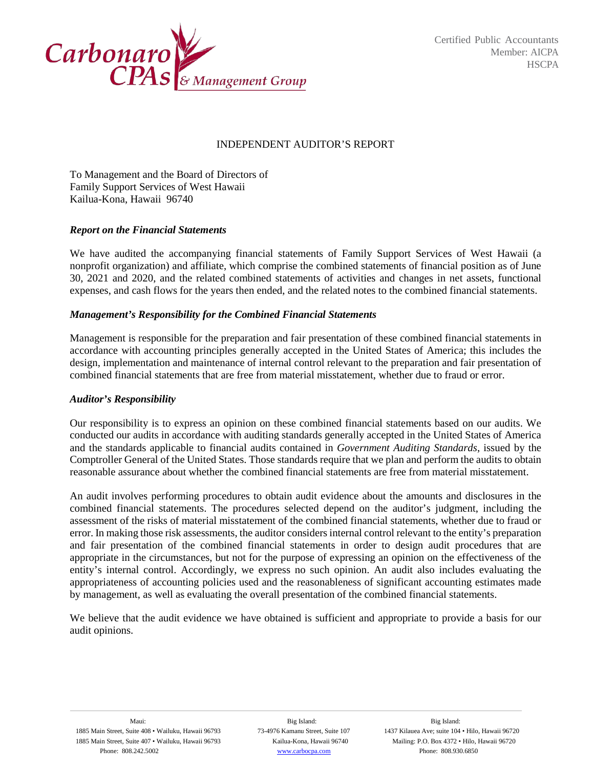

# INDEPENDENT AUDITOR'S REPORT

To Management and the Board of Directors of Family Support Services of West Hawaii Kailua-Kona, Hawaii 96740

## *Report on the Financial Statements*

We have audited the accompanying financial statements of Family Support Services of West Hawaii (a nonprofit organization) and affiliate, which comprise the combined statements of financial position as of June 30, 2021 and 2020, and the related combined statements of activities and changes in net assets, functional expenses, and cash flows for the years then ended, and the related notes to the combined financial statements.

## *Management's Responsibility for the Combined Financial Statements*

Management is responsible for the preparation and fair presentation of these combined financial statements in accordance with accounting principles generally accepted in the United States of America; this includes the design, implementation and maintenance of internal control relevant to the preparation and fair presentation of combined financial statements that are free from material misstatement, whether due to fraud or error.

## *Auditor's Responsibility*

Our responsibility is to express an opinion on these combined financial statements based on our audits. We conducted our audits in accordance with auditing standards generally accepted in the United States of America and the standards applicable to financial audits contained in *Government Auditing Standards*, issued by the Comptroller General of the United States. Those standards require that we plan and perform the audits to obtain reasonable assurance about whether the combined financial statements are free from material misstatement.

An audit involves performing procedures to obtain audit evidence about the amounts and disclosures in the combined financial statements. The procedures selected depend on the auditor's judgment, including the assessment of the risks of material misstatement of the combined financial statements, whether due to fraud or error. In making those risk assessments, the auditor considers internal control relevant to the entity's preparation and fair presentation of the combined financial statements in order to design audit procedures that are appropriate in the circumstances, but not for the purpose of expressing an opinion on the effectiveness of the entity's internal control. Accordingly, we express no such opinion. An audit also includes evaluating the appropriateness of accounting policies used and the reasonableness of significant accounting estimates made by management, as well as evaluating the overall presentation of the combined financial statements.

We believe that the audit evidence we have obtained is sufficient and appropriate to provide a basis for our audit opinions.

Maui: Big Island: Big Island: 1885 Main Street, Suite 408 • Wailuku, Hawaii 96793 73-4976 Kamanu Street, Suite 107 1437 Kilauea Ave; suite 104 • Hilo, Hawaii 96720 1885 Main Street, Suite 407 • Wailuku, Hawaii 96793 Kailua-Kona, Hawaii 96740 Mailing: P.O. Box 4372 • Hilo, Hawaii 96720 Phone: 808.242.5002 www.carbocpa.com Phone: 808.930.6850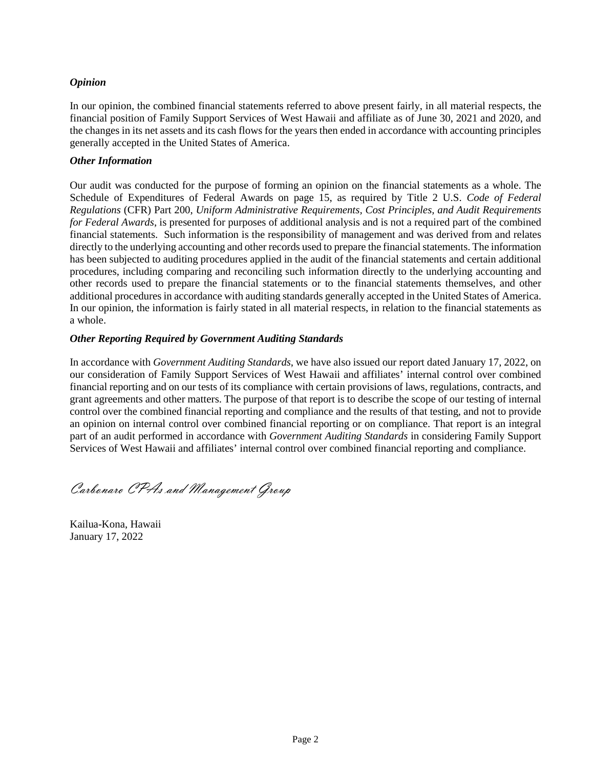# *Opinion*

In our opinion, the combined financial statements referred to above present fairly, in all material respects, the financial position of Family Support Services of West Hawaii and affiliate as of June 30, 2021 and 2020, and the changes in its net assets and its cash flows for the years then ended in accordance with accounting principles generally accepted in the United States of America.

## *Other Information*

Our audit was conducted for the purpose of forming an opinion on the financial statements as a whole. The Schedule of Expenditures of Federal Awards on page 15, as required by Title 2 U.S. *Code of Federal Regulations* (CFR) Part 200, *Uniform Administrative Requirements, Cost Principles, and Audit Requirements for Federal Awards*, is presented for purposes of additional analysis and is not a required part of the combined financial statements. Such information is the responsibility of management and was derived from and relates directly to the underlying accounting and other records used to prepare the financial statements. The information has been subjected to auditing procedures applied in the audit of the financial statements and certain additional procedures, including comparing and reconciling such information directly to the underlying accounting and other records used to prepare the financial statements or to the financial statements themselves, and other additional procedures in accordance with auditing standards generally accepted in the United States of America. In our opinion, the information is fairly stated in all material respects, in relation to the financial statements as a whole.

# *Other Reporting Required by Government Auditing Standards*

In accordance with *Government Auditing Standards*, we have also issued our report dated January 17, 2022, on our consideration of Family Support Services of West Hawaii and affiliates' internal control over combined financial reporting and on our tests of its compliance with certain provisions of laws, regulations, contracts, and grant agreements and other matters. The purpose of that report is to describe the scope of our testing of internal control over the combined financial reporting and compliance and the results of that testing, and not to provide an opinion on internal control over combined financial reporting or on compliance. That report is an integral part of an audit performed in accordance with *Government Auditing Standards* in considering Family Support Services of West Hawaii and affiliates' internal control over combined financial reporting and compliance.

Carbonaro CPAs and Management Group

Kailua-Kona, Hawaii January 17, 2022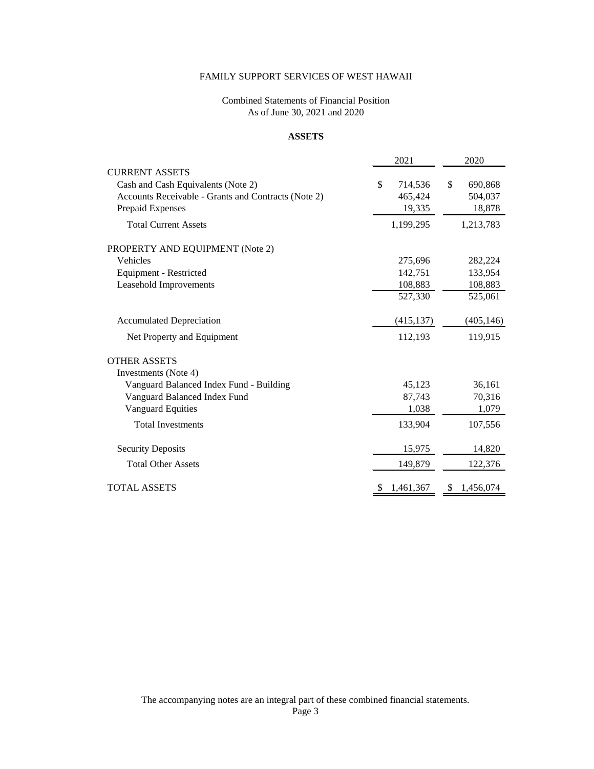#### Combined Statements of Financial Position As of June 30, 2021 and 2020

#### **ASSETS**

|                                                     | 2021 |            | 2020          |  |
|-----------------------------------------------------|------|------------|---------------|--|
| <b>CURRENT ASSETS</b>                               |      |            |               |  |
| Cash and Cash Equivalents (Note 2)                  | \$   | 714,536    | \$<br>690,868 |  |
| Accounts Receivable - Grants and Contracts (Note 2) |      | 465,424    | 504,037       |  |
| Prepaid Expenses                                    |      | 19,335     | 18,878        |  |
| <b>Total Current Assets</b>                         |      | 1,199,295  | 1,213,783     |  |
| PROPERTY AND EQUIPMENT (Note 2)                     |      |            |               |  |
| Vehicles                                            |      | 275,696    | 282,224       |  |
| Equipment - Restricted                              |      | 142,751    | 133,954       |  |
| Leasehold Improvements                              |      | 108,883    | 108,883       |  |
|                                                     |      | 527,330    | 525,061       |  |
| <b>Accumulated Depreciation</b>                     |      | (415, 137) | (405, 146)    |  |
| Net Property and Equipment                          |      | 112,193    | 119,915       |  |
| <b>OTHER ASSETS</b>                                 |      |            |               |  |
| Investments (Note 4)                                |      |            |               |  |
| Vanguard Balanced Index Fund - Building             |      | 45,123     | 36,161        |  |
| Vanguard Balanced Index Fund                        |      | 87,743     | 70,316        |  |
| <b>Vanguard Equities</b>                            |      | 1,038      | 1,079         |  |
| <b>Total Investments</b>                            |      | 133,904    | 107,556       |  |
| <b>Security Deposits</b>                            |      | 15,975     | 14,820        |  |
| <b>Total Other Assets</b>                           |      | 149,879    | 122,376       |  |
| <b>TOTAL ASSETS</b>                                 |      | 1,461,367  | 1,456,074     |  |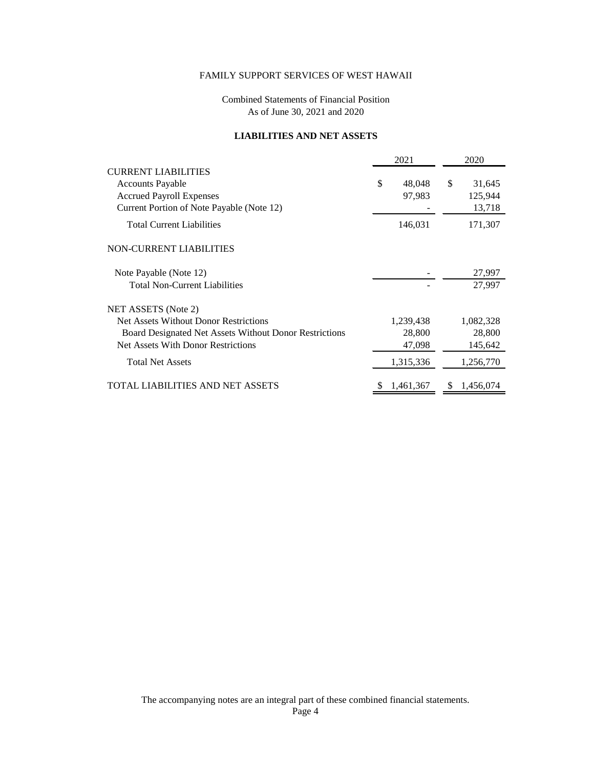#### Combined Statements of Financial Position As of June 30, 2021 and 2020

#### **LIABILITIES AND NET ASSETS**

|                                                        | 2021         | 2020         |
|--------------------------------------------------------|--------------|--------------|
| <b>CURRENT LIABILITIES</b>                             |              |              |
| <b>Accounts Payable</b>                                | \$<br>48,048 | \$<br>31,645 |
| <b>Accrued Payroll Expenses</b>                        | 97,983       | 125,944      |
| Current Portion of Note Payable (Note 12)              |              | 13,718       |
| <b>Total Current Liabilities</b>                       | 146,031      | 171,307      |
| <b>NON-CURRENT LIABILITIES</b>                         |              |              |
| Note Payable (Note 12)                                 |              | 27,997       |
| <b>Total Non-Current Liabilities</b>                   |              | 27,997       |
| NET ASSETS (Note 2)                                    |              |              |
| Net Assets Without Donor Restrictions                  | 1,239,438    | 1,082,328    |
| Board Designated Net Assets Without Donor Restrictions | 28,800       | 28,800       |
| Net Assets With Donor Restrictions                     | 47,098       | 145,642      |
| <b>Total Net Assets</b>                                | 1,315,336    | 1,256,770    |
| TOTAL LIABILITIES AND NET ASSETS                       | 1,461,367    | 1,456,074    |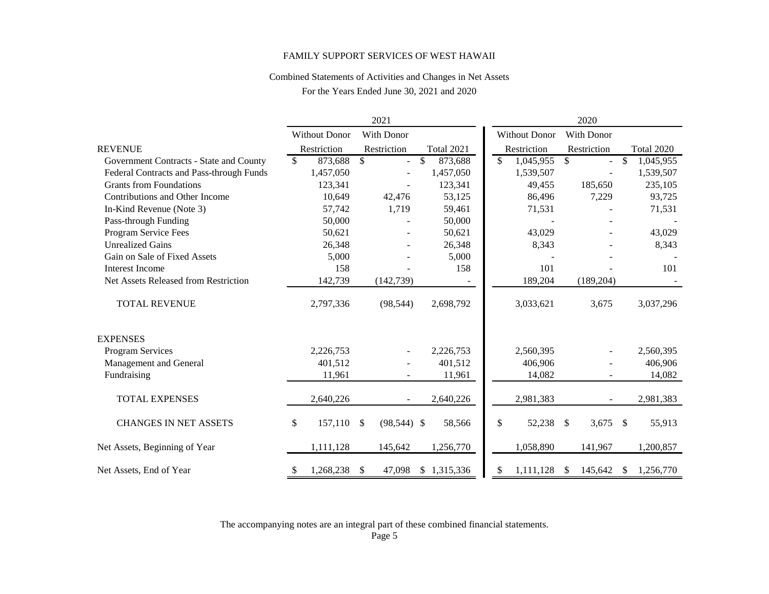## Combined Statements of Activities and Changes in Net Assets

For the Years Ended June 30, 2021 and 2020

|                                          | 2021                 |           |               |                |    | 2020                     |              |               |               |                          |               |                   |
|------------------------------------------|----------------------|-----------|---------------|----------------|----|--------------------------|--------------|---------------|---------------|--------------------------|---------------|-------------------|
|                                          | <b>Without Donor</b> |           |               | With Donor     |    |                          |              | Without Donor |               | With Donor               |               |                   |
| <b>REVENUE</b>                           | Restriction          |           |               | Restriction    |    | <b>Total 2021</b>        |              | Restriction   |               | Restriction              |               | <b>Total 2020</b> |
| Government Contracts - State and County  | \$                   | 873,688   | \$            | $\blacksquare$ | \$ | 873,688                  | $\mathbb{S}$ | 1,045,955     | \$            | $\overline{\phantom{a}}$ | \$            | 1,045,955         |
| Federal Contracts and Pass-through Funds |                      | 1,457,050 |               |                |    | 1,457,050                |              | 1,539,507     |               |                          |               | 1,539,507         |
| <b>Grants from Foundations</b>           |                      | 123,341   |               |                |    | 123,341                  |              | 49,455        |               | 185,650                  |               | 235,105           |
| Contributions and Other Income           |                      | 10,649    |               | 42,476         |    | 53,125                   |              | 86,496        |               | 7,229                    |               | 93,725            |
| In-Kind Revenue (Note 3)                 |                      | 57,742    |               | 1,719          |    | 59,461                   |              | 71,531        |               |                          |               | 71,531            |
| Pass-through Funding                     |                      | 50,000    |               |                |    | 50,000                   |              |               |               |                          |               |                   |
| Program Service Fees                     |                      | 50,621    |               |                |    | 50,621                   |              | 43,029        |               |                          |               | 43,029            |
| <b>Unrealized Gains</b>                  |                      | 26,348    |               |                |    | 26,348                   |              | 8,343         |               |                          |               | 8,343             |
| Gain on Sale of Fixed Assets             |                      | 5,000     |               |                |    | 5,000                    |              |               |               |                          |               |                   |
| <b>Interest Income</b>                   |                      | 158       |               |                |    | 158                      |              | 101           |               |                          |               | 101               |
| Net Assets Released from Restriction     |                      | 142,739   |               | (142, 739)     |    | $\overline{\phantom{a}}$ |              | 189,204       |               | (189, 204)               |               |                   |
| <b>TOTAL REVENUE</b>                     |                      | 2,797,336 |               | (98, 544)      |    | 2,698,792                |              | 3,033,621     |               | 3,675                    |               | 3,037,296         |
| <b>EXPENSES</b>                          |                      |           |               |                |    |                          |              |               |               |                          |               |                   |
| Program Services                         |                      | 2,226,753 |               |                |    | 2,226,753                |              | 2,560,395     |               |                          |               | 2,560,395         |
| Management and General                   |                      | 401,512   |               |                |    | 401,512                  |              | 406,906       |               |                          |               | 406,906           |
| Fundraising                              |                      | 11,961    |               |                |    | 11,961                   |              | 14,082        |               |                          |               | 14,082            |
| <b>TOTAL EXPENSES</b>                    |                      | 2,640,226 |               |                |    | 2,640,226                |              | 2,981,383     |               |                          |               | 2,981,383         |
| <b>CHANGES IN NET ASSETS</b>             | \$                   | 157,110   | $\mathbb{S}$  | $(98, 544)$ \$ |    | 58,566                   | \$           | 52,238        | $\mathbb{S}$  | 3,675                    | <sup>\$</sup> | 55,913            |
| Net Assets, Beginning of Year            |                      | 1,111,128 |               | 145,642        |    | 1,256,770                |              | 1,058,890     |               | 141,967                  |               | 1,200,857         |
| Net Assets, End of Year                  | \$                   | 1,268,238 | $\mathcal{S}$ | 47,098         |    | \$1,315,336              | \$           | 1,111,128     | <sup>\$</sup> | 145,642                  | <sup>\$</sup> | 1,256,770         |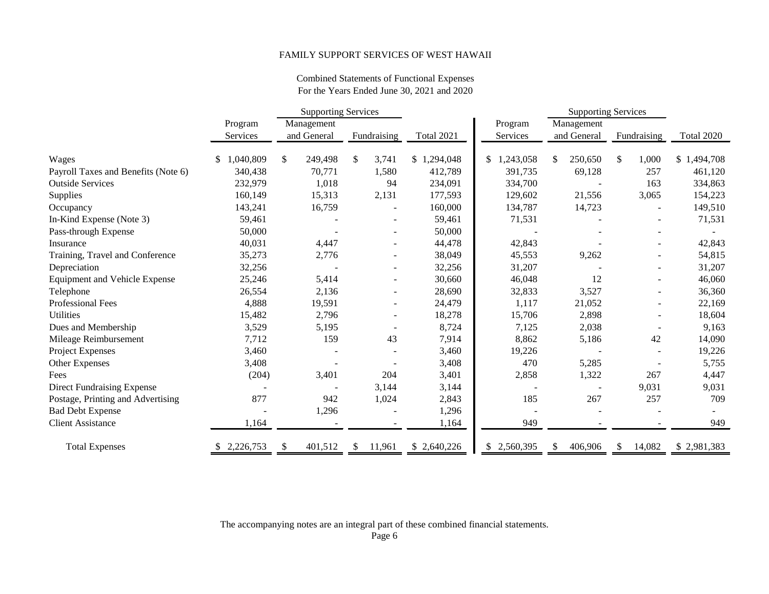#### Combined Statements of Functional Expenses For the Years Ended June 30, 2021 and 2020

|                                      |           | <b>Supporting Services</b> |             |                          |                   | <b>Supporting Services</b> |               |                          |                   |
|--------------------------------------|-----------|----------------------------|-------------|--------------------------|-------------------|----------------------------|---------------|--------------------------|-------------------|
|                                      | Program   |                            | Management  |                          |                   | Program                    | Management    |                          |                   |
|                                      | Services  |                            | and General | Fundraising              | <b>Total 2021</b> | Services                   | and General   | Fundraising              | <b>Total 2020</b> |
|                                      |           |                            |             |                          |                   |                            |               |                          |                   |
| Wages                                | 1,040,809 | \$                         | 249,498     | \$<br>3,741              | \$1,294,048       | \$1,243,058                | 250,650<br>\$ | \$<br>1,000              | \$1,494,708       |
| Payroll Taxes and Benefits (Note 6)  | 340,438   |                            | 70,771      | 1,580                    | 412,789           | 391,735                    | 69,128        | 257                      | 461,120           |
| <b>Outside Services</b>              | 232,979   |                            | 1,018       | 94                       | 234,091           | 334,700                    |               | 163                      | 334,863           |
| Supplies                             | 160,149   |                            | 15,313      | 2,131                    | 177,593           | 129,602                    | 21,556        | 3,065                    | 154,223           |
| Occupancy                            | 143,241   |                            | 16,759      |                          | 160,000           | 134,787                    | 14,723        |                          | 149,510           |
| In-Kind Expense (Note 3)             | 59,461    |                            |             |                          | 59,461            | 71,531                     |               |                          | 71,531            |
| Pass-through Expense                 | 50,000    |                            |             |                          | 50,000            |                            |               |                          |                   |
| Insurance                            | 40,031    |                            | 4,447       |                          | 44,478            | 42,843                     |               | $\overline{\phantom{a}}$ | 42,843            |
| Training, Travel and Conference      | 35,273    |                            | 2,776       |                          | 38,049            | 45,553                     | 9,262         |                          | 54,815            |
| Depreciation                         | 32,256    |                            |             | $\overline{\phantom{a}}$ | 32,256            | 31,207                     |               | $\sim$                   | 31,207            |
| <b>Equipment and Vehicle Expense</b> | 25,246    |                            | 5,414       |                          | 30,660            | 46,048                     | 12            |                          | 46,060            |
| Telephone                            | 26,554    |                            | 2,136       | $\overline{\phantom{a}}$ | 28,690            | 32,833                     | 3,527         |                          | 36,360            |
| Professional Fees                    | 4,888     |                            | 19,591      |                          | 24,479            | 1,117                      | 21,052        |                          | 22,169            |
| <b>Utilities</b>                     | 15,482    |                            | 2,796       |                          | 18,278            | 15,706                     | 2,898         |                          | 18,604            |
| Dues and Membership                  | 3,529     |                            | 5,195       |                          | 8,724             | 7,125                      | 2,038         | $\sim$                   | 9,163             |
| Mileage Reimbursement                | 7,712     |                            | 159         | 43                       | 7,914             | 8,862                      | 5,186         | 42                       | 14,090            |
| Project Expenses                     | 3,460     |                            |             |                          | 3,460             | 19,226                     |               |                          | 19,226            |
| Other Expenses                       | 3,408     |                            |             |                          | 3,408             | 470                        | 5,285         |                          | 5,755             |
| Fees                                 | (204)     |                            | 3,401       | 204                      | 3,401             | 2,858                      | 1,322         | 267                      | 4,447             |
| <b>Direct Fundraising Expense</b>    |           |                            |             | 3,144                    | 3,144             |                            |               | 9,031                    | 9,031             |
| Postage, Printing and Advertising    | 877       |                            | 942         | 1,024                    | 2,843             | 185                        | 267           | 257                      | 709               |
| <b>Bad Debt Expense</b>              |           |                            | 1,296       |                          | 1,296             |                            |               |                          |                   |
| <b>Client Assistance</b>             | 1,164     |                            |             |                          | 1,164             | 949                        |               |                          | 949               |
| <b>Total Expenses</b>                | 2,226,753 | \$                         | 401,512     | 11,961                   | \$2,640,226       | 2,560,395                  | 406,906       | 14,082<br>\$.            | \$2,981,383       |
|                                      |           |                            |             |                          |                   |                            |               |                          |                   |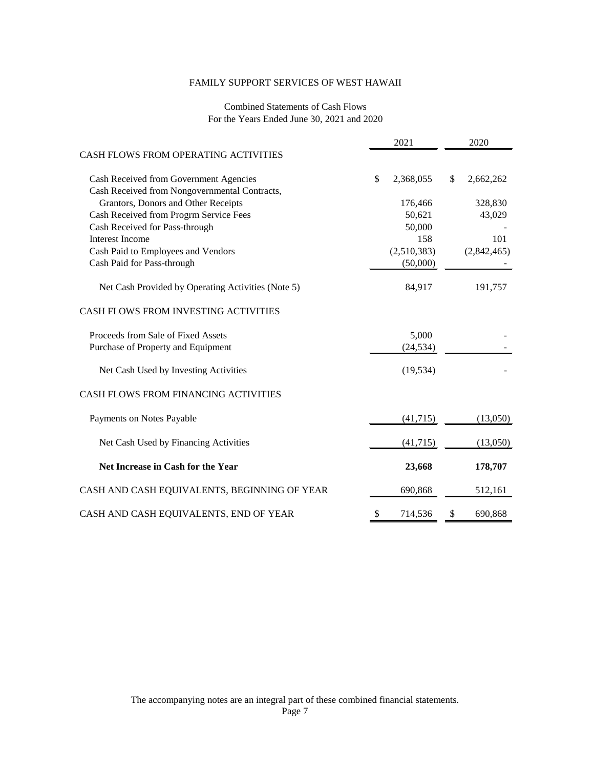#### Combined Statements of Cash Flows For the Years Ended June 30, 2021 and 2020

|                                                                                         | 2021            |    | 2020        |
|-----------------------------------------------------------------------------------------|-----------------|----|-------------|
| CASH FLOWS FROM OPERATING ACTIVITIES                                                    |                 |    |             |
| Cash Received from Government Agencies<br>Cash Received from Nongovernmental Contracts, | \$<br>2,368,055 | \$ | 2,662,262   |
| Grantors, Donors and Other Receipts                                                     | 176,466         |    | 328,830     |
| Cash Received from Progrm Service Fees                                                  | 50,621          |    | 43,029      |
| Cash Received for Pass-through                                                          | 50,000          |    |             |
| <b>Interest Income</b>                                                                  | 158             |    | 101         |
| Cash Paid to Employees and Vendors                                                      | (2,510,383)     |    | (2,842,465) |
| Cash Paid for Pass-through                                                              | (50,000)        |    |             |
| Net Cash Provided by Operating Activities (Note 5)                                      | 84,917          |    | 191,757     |
| CASH FLOWS FROM INVESTING ACTIVITIES                                                    |                 |    |             |
| Proceeds from Sale of Fixed Assets                                                      | 5,000           |    |             |
| Purchase of Property and Equipment                                                      | (24, 534)       |    |             |
| Net Cash Used by Investing Activities                                                   | (19, 534)       |    |             |
| CASH FLOWS FROM FINANCING ACTIVITIES                                                    |                 |    |             |
| Payments on Notes Payable                                                               | (41, 715)       |    | (13,050)    |
| Net Cash Used by Financing Activities                                                   | (41, 715)       |    | (13,050)    |
| Net Increase in Cash for the Year                                                       | 23,668          |    | 178,707     |
| CASH AND CASH EQUIVALENTS, BEGINNING OF YEAR                                            | 690,868         |    | 512,161     |
| CASH AND CASH EQUIVALENTS, END OF YEAR                                                  | 714,536         | S  | 690,868     |
|                                                                                         |                 |    |             |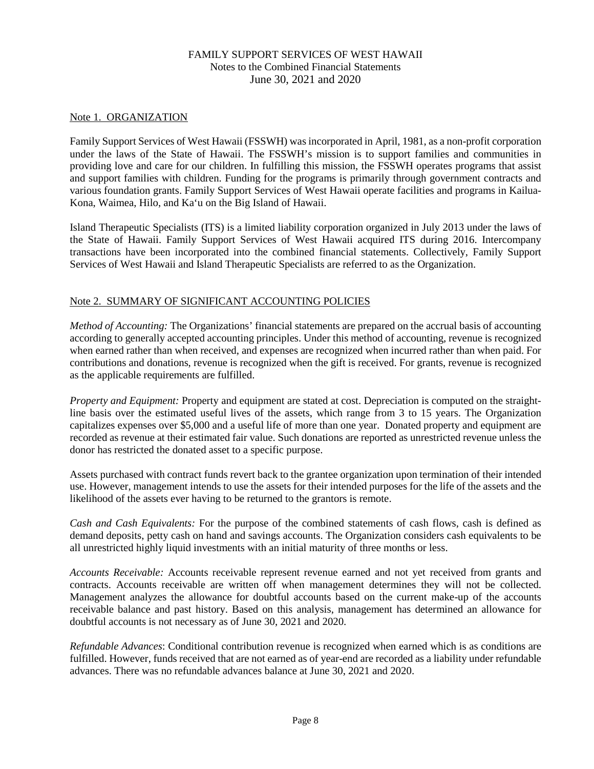## Note 1. ORGANIZATION

Family Support Services of West Hawaii (FSSWH) was incorporated in April, 1981, as a non-profit corporation under the laws of the State of Hawaii. The FSSWH's mission is to support families and communities in providing love and care for our children. In fulfilling this mission, the FSSWH operates programs that assist and support families with children. Funding for the programs is primarily through government contracts and various foundation grants. Family Support Services of West Hawaii operate facilities and programs in Kailua-Kona, Waimea, Hilo, and Ka'u on the Big Island of Hawaii.

Island Therapeutic Specialists (ITS) is a limited liability corporation organized in July 2013 under the laws of the State of Hawaii. Family Support Services of West Hawaii acquired ITS during 2016. Intercompany transactions have been incorporated into the combined financial statements. Collectively, Family Support Services of West Hawaii and Island Therapeutic Specialists are referred to as the Organization.

## Note 2. SUMMARY OF SIGNIFICANT ACCOUNTING POLICIES

*Method of Accounting:* The Organizations' financial statements are prepared on the accrual basis of accounting according to generally accepted accounting principles. Under this method of accounting, revenue is recognized when earned rather than when received, and expenses are recognized when incurred rather than when paid. For contributions and donations, revenue is recognized when the gift is received. For grants, revenue is recognized as the applicable requirements are fulfilled.

*Property and Equipment:* Property and equipment are stated at cost. Depreciation is computed on the straightline basis over the estimated useful lives of the assets, which range from 3 to 15 years. The Organization capitalizes expenses over \$5,000 and a useful life of more than one year. Donated property and equipment are recorded as revenue at their estimated fair value. Such donations are reported as unrestricted revenue unless the donor has restricted the donated asset to a specific purpose.

Assets purchased with contract funds revert back to the grantee organization upon termination of their intended use. However, management intends to use the assets for their intended purposes for the life of the assets and the likelihood of the assets ever having to be returned to the grantors is remote.

*Cash and Cash Equivalents:* For the purpose of the combined statements of cash flows, cash is defined as demand deposits, petty cash on hand and savings accounts. The Organization considers cash equivalents to be all unrestricted highly liquid investments with an initial maturity of three months or less.

*Accounts Receivable:* Accounts receivable represent revenue earned and not yet received from grants and contracts. Accounts receivable are written off when management determines they will not be collected. Management analyzes the allowance for doubtful accounts based on the current make-up of the accounts receivable balance and past history. Based on this analysis, management has determined an allowance for doubtful accounts is not necessary as of June 30, 2021 and 2020.

*Refundable Advances*: Conditional contribution revenue is recognized when earned which is as conditions are fulfilled. However, funds received that are not earned as of year-end are recorded as a liability under refundable advances. There was no refundable advances balance at June 30, 2021 and 2020.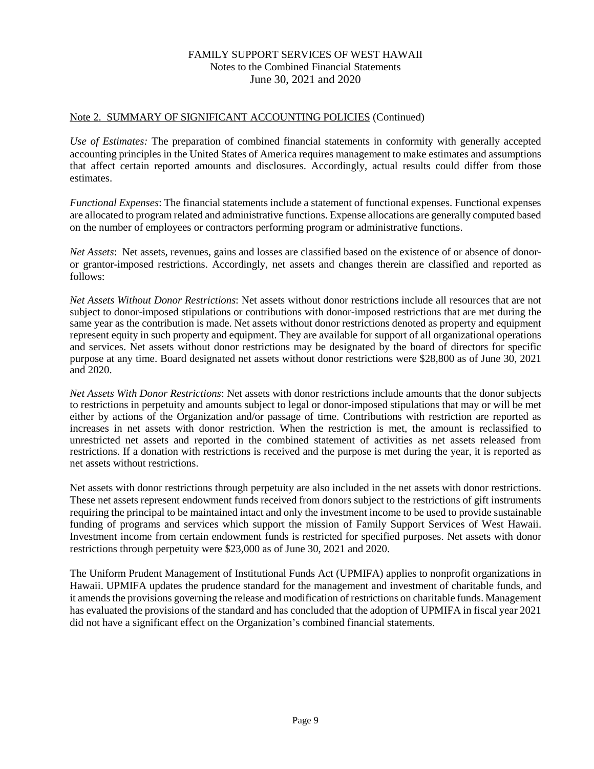# Note 2. SUMMARY OF SIGNIFICANT ACCOUNTING POLICIES (Continued)

*Use of Estimates:* The preparation of combined financial statements in conformity with generally accepted accounting principles in the United States of America requires management to make estimates and assumptions that affect certain reported amounts and disclosures. Accordingly, actual results could differ from those estimates.

*Functional Expenses*: The financial statements include a statement of functional expenses. Functional expenses are allocated to program related and administrative functions. Expense allocations are generally computed based on the number of employees or contractors performing program or administrative functions.

*Net Assets*: Net assets, revenues, gains and losses are classified based on the existence of or absence of donoror grantor-imposed restrictions. Accordingly, net assets and changes therein are classified and reported as follows:

*Net Assets Without Donor Restrictions*: Net assets without donor restrictions include all resources that are not subject to donor-imposed stipulations or contributions with donor-imposed restrictions that are met during the same year as the contribution is made. Net assets without donor restrictions denoted as property and equipment represent equity in such property and equipment. They are available for support of all organizational operations and services. Net assets without donor restrictions may be designated by the board of directors for specific purpose at any time. Board designated net assets without donor restrictions were \$28,800 as of June 30, 2021 and 2020.

*Net Assets With Donor Restrictions*: Net assets with donor restrictions include amounts that the donor subjects to restrictions in perpetuity and amounts subject to legal or donor-imposed stipulations that may or will be met either by actions of the Organization and/or passage of time. Contributions with restriction are reported as increases in net assets with donor restriction. When the restriction is met, the amount is reclassified to unrestricted net assets and reported in the combined statement of activities as net assets released from restrictions. If a donation with restrictions is received and the purpose is met during the year, it is reported as net assets without restrictions.

Net assets with donor restrictions through perpetuity are also included in the net assets with donor restrictions. These net assets represent endowment funds received from donors subject to the restrictions of gift instruments requiring the principal to be maintained intact and only the investment income to be used to provide sustainable funding of programs and services which support the mission of Family Support Services of West Hawaii. Investment income from certain endowment funds is restricted for specified purposes. Net assets with donor restrictions through perpetuity were \$23,000 as of June 30, 2021 and 2020.

The Uniform Prudent Management of Institutional Funds Act (UPMIFA) applies to nonprofit organizations in Hawaii. UPMIFA updates the prudence standard for the management and investment of charitable funds, and it amends the provisions governing the release and modification of restrictions on charitable funds. Management has evaluated the provisions of the standard and has concluded that the adoption of UPMIFA in fiscal year 2021 did not have a significant effect on the Organization's combined financial statements.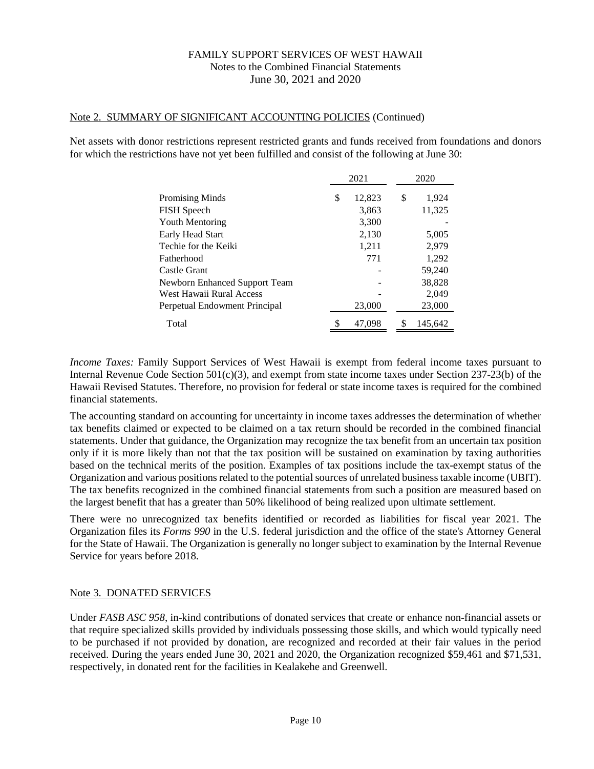## Note 2. SUMMARY OF SIGNIFICANT ACCOUNTING POLICIES (Continued)

Net assets with donor restrictions represent restricted grants and funds received from foundations and donors for which the restrictions have not yet been fulfilled and consist of the following at June 30:

|                               | 2021 |        |    | 2020    |
|-------------------------------|------|--------|----|---------|
| <b>Promising Minds</b>        | \$   | 12,823 | \$ | 1,924   |
| <b>FISH</b> Speech            |      | 3,863  |    | 11,325  |
| <b>Youth Mentoring</b>        |      | 3,300  |    |         |
| Early Head Start              |      | 2,130  |    | 5,005   |
| Techie for the Keiki          |      | 1,211  |    | 2,979   |
| Fatherhood                    |      | 771    |    | 1,292   |
| Castle Grant                  |      |        |    | 59,240  |
| Newborn Enhanced Support Team |      |        |    | 38,828  |
| West Hawaii Rural Access      |      |        |    | 2,049   |
| Perpetual Endowment Principal |      | 23,000 |    | 23,000  |
| Total                         |      | 47,098 |    | 145,642 |

*Income Taxes:* Family Support Services of West Hawaii is exempt from federal income taxes pursuant to Internal Revenue Code Section  $501(c)(3)$ , and exempt from state income taxes under Section 237-23(b) of the Hawaii Revised Statutes. Therefore, no provision for federal or state income taxes is required for the combined financial statements.

The accounting standard on accounting for uncertainty in income taxes addresses the determination of whether tax benefits claimed or expected to be claimed on a tax return should be recorded in the combined financial statements. Under that guidance, the Organization may recognize the tax benefit from an uncertain tax position only if it is more likely than not that the tax position will be sustained on examination by taxing authorities based on the technical merits of the position. Examples of tax positions include the tax-exempt status of the Organization and various positions related to the potential sources of unrelated business taxable income (UBIT). The tax benefits recognized in the combined financial statements from such a position are measured based on the largest benefit that has a greater than 50% likelihood of being realized upon ultimate settlement.

There were no unrecognized tax benefits identified or recorded as liabilities for fiscal year 2021. The Organization files its *Forms 990* in the U.S. federal jurisdiction and the office of the state's Attorney General for the State of Hawaii. The Organization is generally no longer subject to examination by the Internal Revenue Service for years before 2018.

## Note 3. DONATED SERVICES

Under *FASB ASC 958*, in-kind contributions of donated services that create or enhance non-financial assets or that require specialized skills provided by individuals possessing those skills, and which would typically need to be purchased if not provided by donation, are recognized and recorded at their fair values in the period received. During the years ended June 30, 2021 and 2020, the Organization recognized \$59,461 and \$71,531, respectively, in donated rent for the facilities in Kealakehe and Greenwell.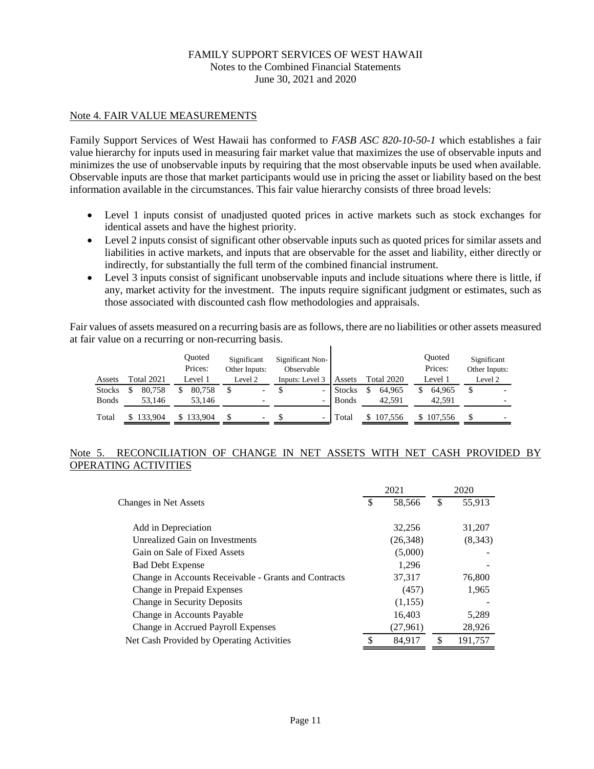## Note 4. FAIR VALUE MEASUREMENTS

Family Support Services of West Hawaii has conformed to *FASB ASC 820-10-50-1* which establishes a fair value hierarchy for inputs used in measuring fair market value that maximizes the use of observable inputs and minimizes the use of unobservable inputs by requiring that the most observable inputs be used when available. Observable inputs are those that market participants would use in pricing the asset or liability based on the best information available in the circumstances. This fair value hierarchy consists of three broad levels:

- Level 1 inputs consist of unadjusted quoted prices in active markets such as stock exchanges for identical assets and have the highest priority.
- Level 2 inputs consist of significant other observable inputs such as quoted prices for similar assets and liabilities in active markets, and inputs that are observable for the asset and liability, either directly or indirectly, for substantially the full term of the combined financial instrument.
- Level 3 inputs consist of significant unobservable inputs and include situations where there is little, if any, market activity for the investment. The inputs require significant judgment or estimates, such as those associated with discounted cash flow methodologies and appraisals.

Fair values of assets measured on a recurring basis are as follows, there are no liabilities or other assets measured at fair value on a recurring or non-recurring basis.  $\mathbf{I}$ 

| Assets        | Total 2021 | Ouoted<br>Prices:<br>Level 1 | Significant<br>Other Inputs:<br>Level 2 | Significant Non-<br>Observable<br>Inputs: Level 3 | Assets        | Total 2020 | Ouoted<br>Prices:<br>Level 1 | Significant<br>Other Inputs:<br>Level 2 |
|---------------|------------|------------------------------|-----------------------------------------|---------------------------------------------------|---------------|------------|------------------------------|-----------------------------------------|
| <b>Stocks</b> | 80.758     | 80.758                       |                                         |                                                   | <b>Stocks</b> | 64.965     | 64.965                       |                                         |
| <b>Bonds</b>  | 53.146     | 53.146                       | -                                       |                                                   | <b>Bonds</b>  | 42.591     | 42.591                       |                                         |
| Total         | 133.904    | \$133,904                    |                                         |                                                   | Total         | 107.556    | 107.556                      |                                         |

## Note 5. RECONCILIATION OF CHANGE IN NET ASSETS WITH NET CASH PROVIDED BY OPERATING ACTIVITIES

|                                                       | 2021         | 2020         |
|-------------------------------------------------------|--------------|--------------|
| Changes in Net Assets                                 | \$<br>58,566 | \$<br>55,913 |
|                                                       | 32,256       | 31,207       |
| Add in Depreciation<br>Unrealized Gain on Investments | (26, 348)    | (8, 343)     |
| Gain on Sale of Fixed Assets                          | (5,000)      |              |
| <b>Bad Debt Expense</b>                               | 1.296        |              |
| Change in Accounts Receivable - Grants and Contracts  | 37,317       | 76,800       |
| Change in Prepaid Expenses                            | (457)        | 1.965        |
| <b>Change in Security Deposits</b>                    | (1,155)      |              |
| Change in Accounts Payable                            | 16,403       | 5,289        |
| Change in Accrued Payroll Expenses                    | (27, 961)    | 28,926       |
| Net Cash Provided by Operating Activities             | \$<br>84.917 | 191.757      |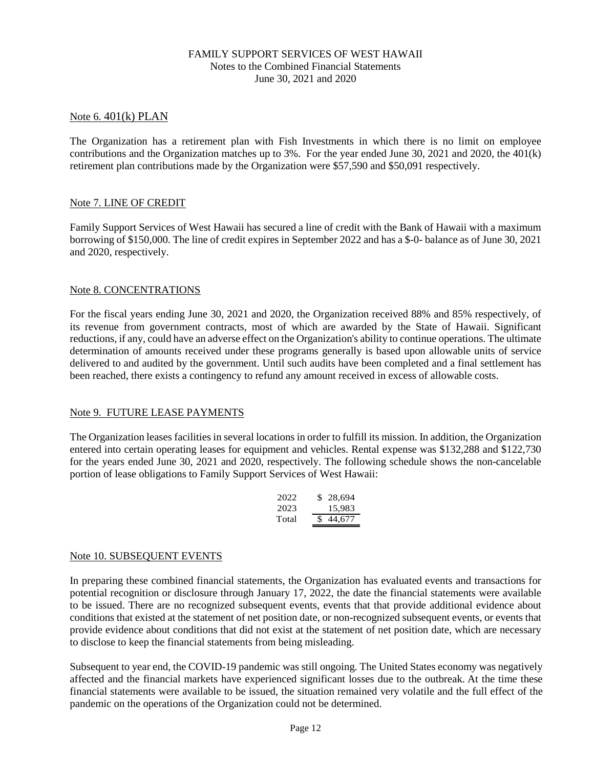# Note 6. 401(k) PLAN

The Organization has a retirement plan with Fish Investments in which there is no limit on employee contributions and the Organization matches up to 3%. For the year ended June 30, 2021 and 2020, the 401(k) retirement plan contributions made by the Organization were \$57,590 and \$50,091 respectively.

## Note 7. LINE OF CREDIT

Family Support Services of West Hawaii has secured a line of credit with the Bank of Hawaii with a maximum borrowing of \$150,000. The line of credit expires in September 2022 and has a \$-0- balance as of June 30, 2021 and 2020, respectively.

## Note 8. CONCENTRATIONS

For the fiscal years ending June 30, 2021 and 2020, the Organization received 88% and 85% respectively, of its revenue from government contracts, most of which are awarded by the State of Hawaii. Significant reductions, if any, could have an adverse effect on the Organization's ability to continue operations. The ultimate determination of amounts received under these programs generally is based upon allowable units of service delivered to and audited by the government. Until such audits have been completed and a final settlement has been reached, there exists a contingency to refund any amount received in excess of allowable costs.

## Note 9. FUTURE LEASE PAYMENTS

The Organization leases facilities in several locations in order to fulfill its mission. In addition, the Organization entered into certain operating leases for equipment and vehicles. Rental expense was \$132,288 and \$122,730 for the years ended June 30, 2021 and 2020, respectively. The following schedule shows the non-cancelable portion of lease obligations to Family Support Services of West Hawaii:

| \$28,694 |
|----------|
| 15,983   |
| \$44,677 |
|          |

## Note 10. SUBSEQUENT EVENTS

In preparing these combined financial statements, the Organization has evaluated events and transactions for potential recognition or disclosure through January 17, 2022, the date the financial statements were available to be issued. There are no recognized subsequent events, events that that provide additional evidence about conditions that existed at the statement of net position date, or non-recognized subsequent events, or events that provide evidence about conditions that did not exist at the statement of net position date, which are necessary to disclose to keep the financial statements from being misleading.

Subsequent to year end, the COVID-19 pandemic was still ongoing. The United States economy was negatively affected and the financial markets have experienced significant losses due to the outbreak. At the time these financial statements were available to be issued, the situation remained very volatile and the full effect of the pandemic on the operations of the Organization could not be determined.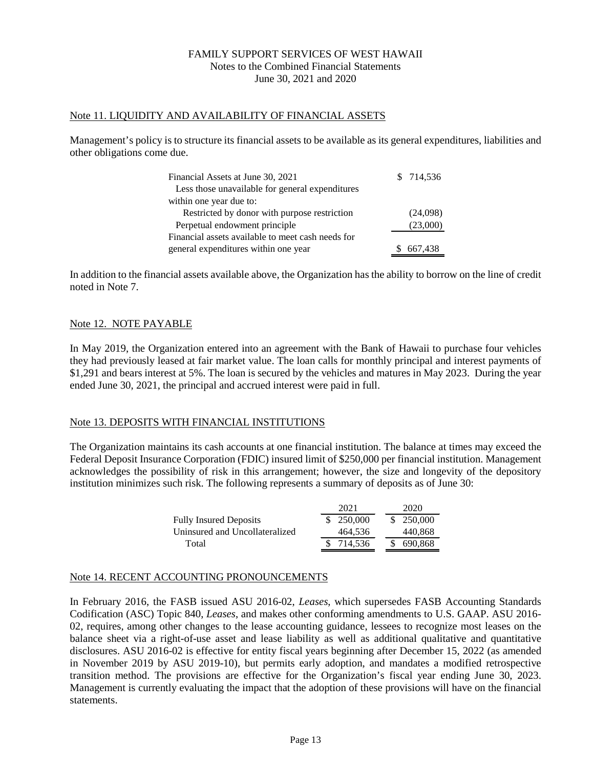## Note 11. LIQUIDITY AND AVAILABILITY OF FINANCIAL ASSETS

Management's policy is to structure its financial assets to be available as its general expenditures, liabilities and other obligations come due.

| Financial Assets at June 30, 2021                 | \$ 714,536 |
|---------------------------------------------------|------------|
| Less those unavailable for general expenditures   |            |
| within one year due to:                           |            |
| Restricted by donor with purpose restriction      | (24,098)   |
| Perpetual endowment principle                     | (23,000)   |
| Financial assets available to meet cash needs for |            |
| general expenditures within one year              | 667,438    |

In addition to the financial assets available above, the Organization has the ability to borrow on the line of credit noted in Note 7.

## Note 12. NOTE PAYABLE

In May 2019, the Organization entered into an agreement with the Bank of Hawaii to purchase four vehicles they had previously leased at fair market value. The loan calls for monthly principal and interest payments of \$1,291 and bears interest at 5%. The loan is secured by the vehicles and matures in May 2023. During the year ended June 30, 2021, the principal and accrued interest were paid in full.

## Note 13. DEPOSITS WITH FINANCIAL INSTITUTIONS

The Organization maintains its cash accounts at one financial institution. The balance at times may exceed the Federal Deposit Insurance Corporation (FDIC) insured limit of \$250,000 per financial institution. Management acknowledges the possibility of risk in this arrangement; however, the size and longevity of the depository institution minimizes such risk. The following represents a summary of deposits as of June 30:

|                                | 2021       | 2020       |
|--------------------------------|------------|------------|
| <b>Fully Insured Deposits</b>  | \$ 250,000 | \$ 250,000 |
| Uninsured and Uncollateralized | 464.536    | 440,868    |
| Total                          | 714.536    | 690.868    |
|                                |            |            |

#### Note 14. RECENT ACCOUNTING PRONOUNCEMENTS

In February 2016, the FASB issued ASU 2016-02, *Leases*, which supersedes FASB Accounting Standards Codification (ASC) Topic 840, *Leases*, and makes other conforming amendments to U.S. GAAP. ASU 2016- 02, requires, among other changes to the lease accounting guidance, lessees to recognize most leases on the balance sheet via a right-of-use asset and lease liability as well as additional qualitative and quantitative disclosures. ASU 2016-02 is effective for entity fiscal years beginning after December 15, 2022 (as amended in November 2019 by ASU 2019-10), but permits early adoption, and mandates a modified retrospective transition method. The provisions are effective for the Organization's fiscal year ending June 30, 2023. Management is currently evaluating the impact that the adoption of these provisions will have on the financial statements.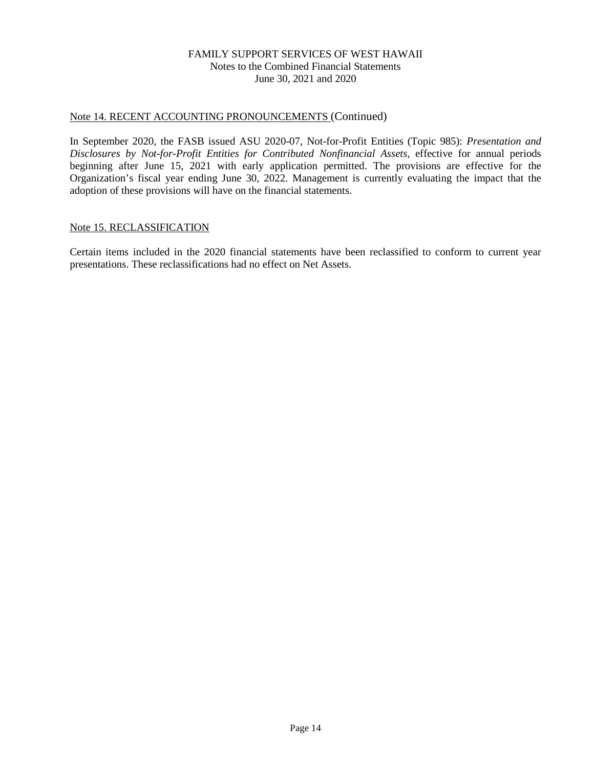## Note 14. RECENT ACCOUNTING PRONOUNCEMENTS (Continued)

In September 2020, the FASB issued ASU 2020-07, Not-for-Profit Entities (Topic 985): *Presentation and Disclosures by Not-for-Profit Entities for Contributed Nonfinancial Assets*, effective for annual periods beginning after June 15, 2021 with early application permitted. The provisions are effective for the Organization's fiscal year ending June 30, 2022. Management is currently evaluating the impact that the adoption of these provisions will have on the financial statements.

#### Note 15. RECLASSIFICATION

Certain items included in the 2020 financial statements have been reclassified to conform to current year presentations. These reclassifications had no effect on Net Assets.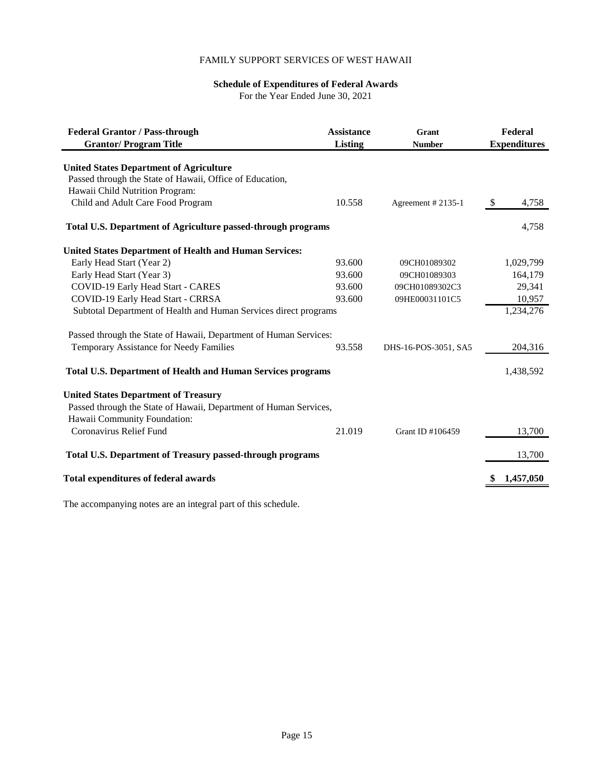# **Schedule of Expenditures of Federal Awards**

For the Year Ended June 30, 2021

| <b>Federal Grantor / Pass-through</b><br><b>Grantor/Program Title</b>                             | <b>Assistance</b><br>Listing | Grant<br><b>Number</b> | Federal<br><b>Expenditures</b> |  |
|---------------------------------------------------------------------------------------------------|------------------------------|------------------------|--------------------------------|--|
| <b>United States Department of Agriculture</b>                                                    |                              |                        |                                |  |
| Passed through the State of Hawaii, Office of Education,                                          |                              |                        |                                |  |
| Hawaii Child Nutrition Program:                                                                   |                              |                        |                                |  |
| Child and Adult Care Food Program                                                                 | 10.558                       | Agreement #2135-1      | $\mathcal{S}$<br>4,758         |  |
| Total U.S. Department of Agriculture passed-through programs                                      |                              |                        |                                |  |
| <b>United States Department of Health and Human Services:</b>                                     |                              |                        |                                |  |
| Early Head Start (Year 2)                                                                         | 93.600                       | 09CH01089302           | 1,029,799                      |  |
| Early Head Start (Year 3)                                                                         | 93.600                       | 09CH01089303           | 164,179                        |  |
| COVID-19 Early Head Start - CARES                                                                 | 93.600                       | 09CH01089302C3         | 29,341                         |  |
| COVID-19 Early Head Start - CRRSA                                                                 | 93.600                       | 09HE00031101C5         | 10,957                         |  |
| Subtotal Department of Health and Human Services direct programs                                  |                              |                        | 1,234,276                      |  |
| Passed through the State of Hawaii, Department of Human Services:                                 |                              |                        |                                |  |
| Temporary Assistance for Needy Families                                                           | 93.558                       | DHS-16-POS-3051, SA5   | 204,316                        |  |
| <b>Total U.S. Department of Health and Human Services programs</b>                                |                              |                        |                                |  |
| <b>United States Department of Treasury</b>                                                       |                              |                        |                                |  |
| Passed through the State of Hawaii, Department of Human Services,<br>Hawaii Community Foundation: |                              |                        |                                |  |
| Coronavirus Relief Fund                                                                           | 21.019                       | Grant ID #106459       | 13,700                         |  |
| <b>Total U.S. Department of Treasury passed-through programs</b>                                  |                              |                        | 13,700                         |  |
| <b>Total expenditures of federal awards</b>                                                       |                              |                        | 1,457,050                      |  |

The accompanying notes are an integral part of this schedule.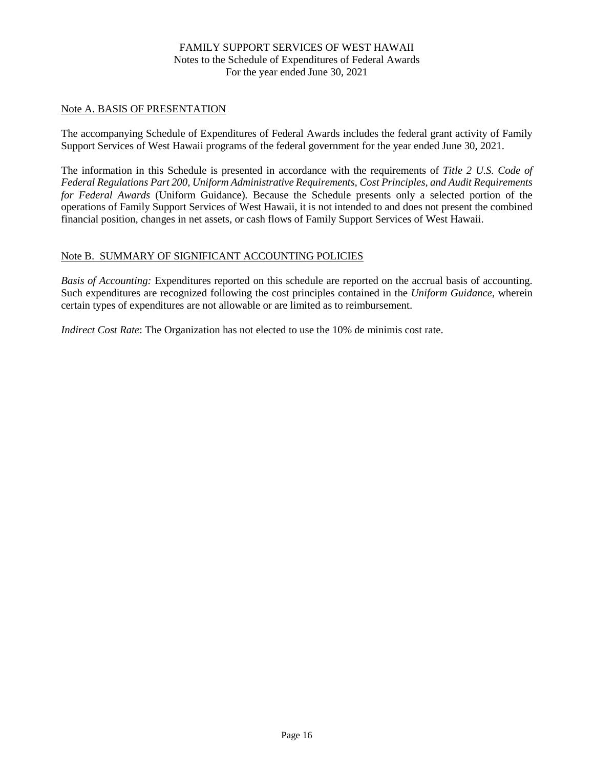## FAMILY SUPPORT SERVICES OF WEST HAWAII Notes to the Schedule of Expenditures of Federal Awards For the year ended June 30, 2021

#### Note A. BASIS OF PRESENTATION

The accompanying Schedule of Expenditures of Federal Awards includes the federal grant activity of Family Support Services of West Hawaii programs of the federal government for the year ended June 30, 2021.

The information in this Schedule is presented in accordance with the requirements of *Title 2 U.S. Code of Federal Regulations Part 200, Uniform Administrative Requirements, Cost Principles, and Audit Requirements for Federal Awards* (Uniform Guidance)*.* Because the Schedule presents only a selected portion of the operations of Family Support Services of West Hawaii, it is not intended to and does not present the combined financial position, changes in net assets, or cash flows of Family Support Services of West Hawaii.

## Note B. SUMMARY OF SIGNIFICANT ACCOUNTING POLICIES

*Basis of Accounting:* Expenditures reported on this schedule are reported on the accrual basis of accounting. Such expenditures are recognized following the cost principles contained in the *Uniform Guidance*, wherein certain types of expenditures are not allowable or are limited as to reimbursement.

*Indirect Cost Rate*: The Organization has not elected to use the 10% de minimis cost rate.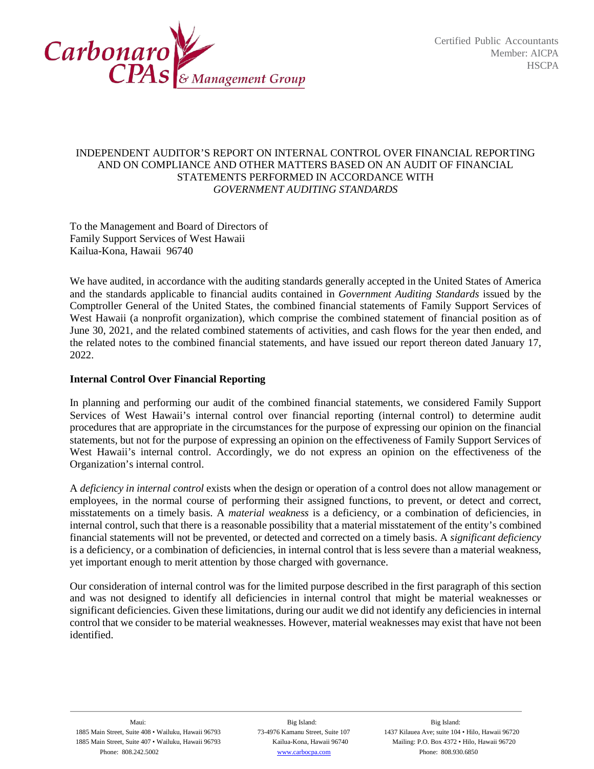

# INDEPENDENT AUDITOR'S REPORT ON INTERNAL CONTROL OVER FINANCIAL REPORTING AND ON COMPLIANCE AND OTHER MATTERS BASED ON AN AUDIT OF FINANCIAL STATEMENTS PERFORMED IN ACCORDANCE WITH *GOVERNMENT AUDITING STANDARDS*

To the Management and Board of Directors of Family Support Services of West Hawaii Kailua-Kona, Hawaii 96740

We have audited, in accordance with the auditing standards generally accepted in the United States of America and the standards applicable to financial audits contained in *Government Auditing Standards* issued by the Comptroller General of the United States, the combined financial statements of Family Support Services of West Hawaii (a nonprofit organization), which comprise the combined statement of financial position as of June 30, 2021, and the related combined statements of activities, and cash flows for the year then ended, and the related notes to the combined financial statements, and have issued our report thereon dated January 17, 2022.

## **Internal Control Over Financial Reporting**

In planning and performing our audit of the combined financial statements, we considered Family Support Services of West Hawaii's internal control over financial reporting (internal control) to determine audit procedures that are appropriate in the circumstances for the purpose of expressing our opinion on the financial statements, but not for the purpose of expressing an opinion on the effectiveness of Family Support Services of West Hawaii's internal control. Accordingly, we do not express an opinion on the effectiveness of the Organization's internal control.

A *deficiency in internal control* exists when the design or operation of a control does not allow management or employees, in the normal course of performing their assigned functions, to prevent, or detect and correct, misstatements on a timely basis. A *material weakness* is a deficiency, or a combination of deficiencies, in internal control, such that there is a reasonable possibility that a material misstatement of the entity's combined financial statements will not be prevented, or detected and corrected on a timely basis. A *significant deficiency* is a deficiency, or a combination of deficiencies, in internal control that is less severe than a material weakness, yet important enough to merit attention by those charged with governance.

Our consideration of internal control was for the limited purpose described in the first paragraph of this section and was not designed to identify all deficiencies in internal control that might be material weaknesses or significant deficiencies. Given these limitations, during our audit we did not identify any deficiencies in internal control that we consider to be material weaknesses. However, material weaknesses may exist that have not been identified.

 1885 Main Street, Suite 408 • Wailuku, Hawaii 96793 73-4976 Kamanu Street, Suite 107 1437 Kilauea Ave; suite 104 • Hilo, Hawaii 96720 1885 Main Street, Suite 407 • Wailuku, Hawaii 96793 Kailua-Kona, Hawaii 96740 Mailing: P.O. Box 4372 • Hilo, Hawaii 96720 Phone: 808.242.5002 www.carbocpa.com Phone: 808.930.6850

Maui: Big Island: Big Island: Big Island: Big Island: Big Island: Big Island: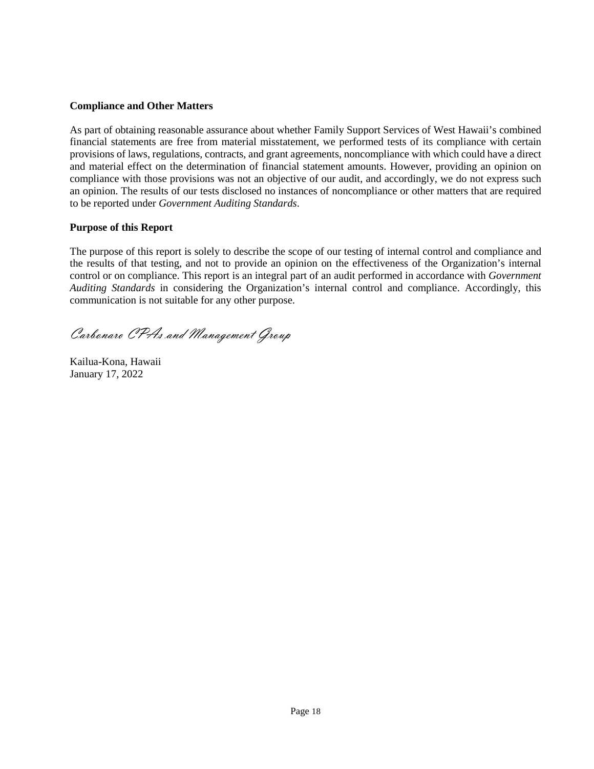#### **Compliance and Other Matters**

As part of obtaining reasonable assurance about whether Family Support Services of West Hawaii's combined financial statements are free from material misstatement, we performed tests of its compliance with certain provisions of laws, regulations, contracts, and grant agreements, noncompliance with which could have a direct and material effect on the determination of financial statement amounts. However, providing an opinion on compliance with those provisions was not an objective of our audit, and accordingly, we do not express such an opinion. The results of our tests disclosed no instances of noncompliance or other matters that are required to be reported under *Government Auditing Standards*.

## **Purpose of this Report**

The purpose of this report is solely to describe the scope of our testing of internal control and compliance and the results of that testing, and not to provide an opinion on the effectiveness of the Organization's internal control or on compliance. This report is an integral part of an audit performed in accordance with *Government Auditing Standards* in considering the Organization's internal control and compliance. Accordingly, this communication is not suitable for any other purpose.

Carbonaro CPAs and Management Group

Kailua-Kona, Hawaii January 17, 2022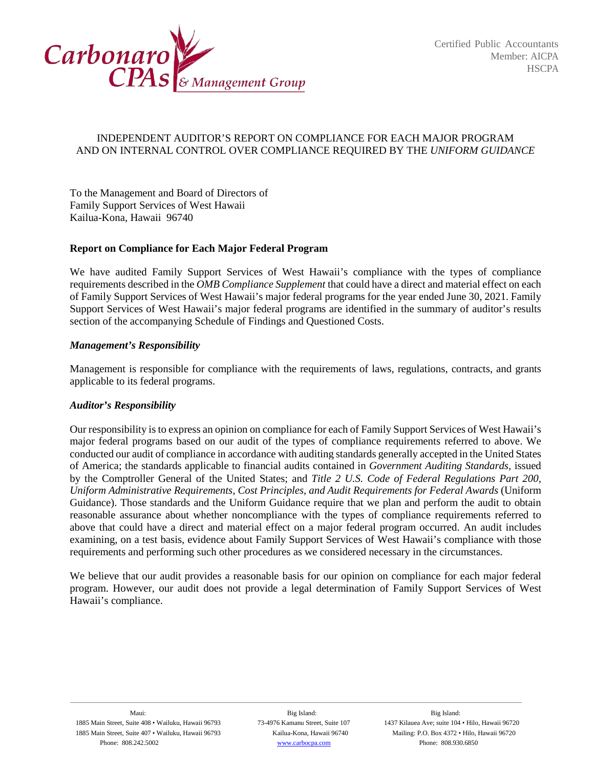

## INDEPENDENT AUDITOR'S REPORT ON COMPLIANCE FOR EACH MAJOR PROGRAM AND ON INTERNAL CONTROL OVER COMPLIANCE REQUIRED BY THE *UNIFORM GUIDANCE*

To the Management and Board of Directors of Family Support Services of West Hawaii Kailua-Kona, Hawaii 96740

## **Report on Compliance for Each Major Federal Program**

We have audited Family Support Services of West Hawaii's compliance with the types of compliance requirements described in the *OMB Compliance Supplement* that could have a direct and material effect on each of Family Support Services of West Hawaii's major federal programs for the year ended June 30, 2021. Family Support Services of West Hawaii's major federal programs are identified in the summary of auditor's results section of the accompanying Schedule of Findings and Questioned Costs.

#### *Management's Responsibility*

Management is responsible for compliance with the requirements of laws, regulations, contracts, and grants applicable to its federal programs.

#### *Auditor's Responsibility*

Our responsibility is to express an opinion on compliance for each of Family Support Services of West Hawaii's major federal programs based on our audit of the types of compliance requirements referred to above. We conducted our audit of compliance in accordance with auditing standards generally accepted in the United States of America; the standards applicable to financial audits contained in *Government Auditing Standards*, issued by the Comptroller General of the United States; and *Title 2 U.S. Code of Federal Regulations Part 200, Uniform Administrative Requirements, Cost Principles, and Audit Requirements for Federal Awards* (Uniform Guidance). Those standards and the Uniform Guidance require that we plan and perform the audit to obtain reasonable assurance about whether noncompliance with the types of compliance requirements referred to above that could have a direct and material effect on a major federal program occurred. An audit includes examining, on a test basis, evidence about Family Support Services of West Hawaii's compliance with those requirements and performing such other procedures as we considered necessary in the circumstances.

We believe that our audit provides a reasonable basis for our opinion on compliance for each major federal program. However, our audit does not provide a legal determination of Family Support Services of West Hawaii's compliance.

Maui: Big Island: Big Island: Big Island: Big Island: Big Island: Big Island: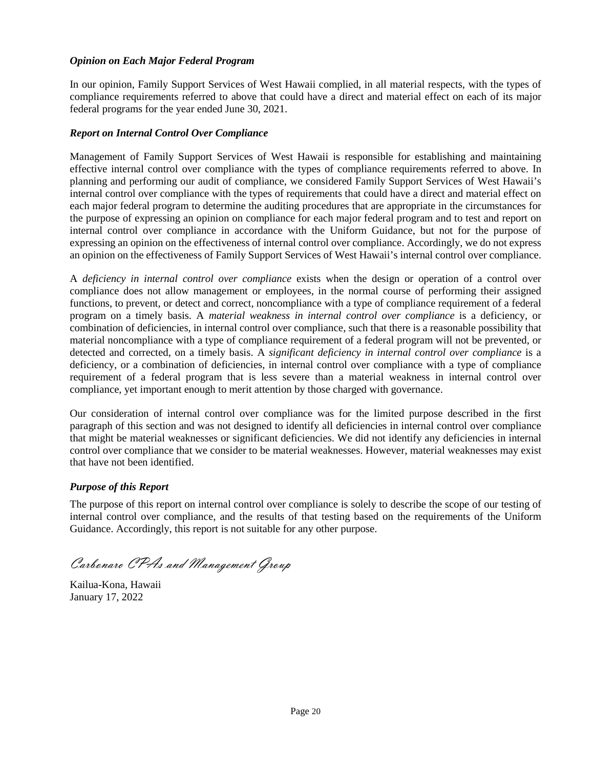## *Opinion on Each Major Federal Program*

In our opinion, Family Support Services of West Hawaii complied, in all material respects, with the types of compliance requirements referred to above that could have a direct and material effect on each of its major federal programs for the year ended June 30, 2021.

#### *Report on Internal Control Over Compliance*

Management of Family Support Services of West Hawaii is responsible for establishing and maintaining effective internal control over compliance with the types of compliance requirements referred to above. In planning and performing our audit of compliance, we considered Family Support Services of West Hawaii's internal control over compliance with the types of requirements that could have a direct and material effect on each major federal program to determine the auditing procedures that are appropriate in the circumstances for the purpose of expressing an opinion on compliance for each major federal program and to test and report on internal control over compliance in accordance with the Uniform Guidance, but not for the purpose of expressing an opinion on the effectiveness of internal control over compliance. Accordingly, we do not express an opinion on the effectiveness of Family Support Services of West Hawaii's internal control over compliance.

A *deficiency in internal control over compliance* exists when the design or operation of a control over compliance does not allow management or employees, in the normal course of performing their assigned functions, to prevent, or detect and correct, noncompliance with a type of compliance requirement of a federal program on a timely basis. A *material weakness in internal control over compliance* is a deficiency, or combination of deficiencies, in internal control over compliance, such that there is a reasonable possibility that material noncompliance with a type of compliance requirement of a federal program will not be prevented, or detected and corrected, on a timely basis. A *significant deficiency in internal control over compliance* is a deficiency, or a combination of deficiencies, in internal control over compliance with a type of compliance requirement of a federal program that is less severe than a material weakness in internal control over compliance, yet important enough to merit attention by those charged with governance.

Our consideration of internal control over compliance was for the limited purpose described in the first paragraph of this section and was not designed to identify all deficiencies in internal control over compliance that might be material weaknesses or significant deficiencies. We did not identify any deficiencies in internal control over compliance that we consider to be material weaknesses. However, material weaknesses may exist that have not been identified.

## *Purpose of this Report*

The purpose of this report on internal control over compliance is solely to describe the scope of our testing of internal control over compliance, and the results of that testing based on the requirements of the Uniform Guidance. Accordingly, this report is not suitable for any other purpose.

Carbonaro CPAs and Management Group

Kailua-Kona, Hawaii January 17, 2022